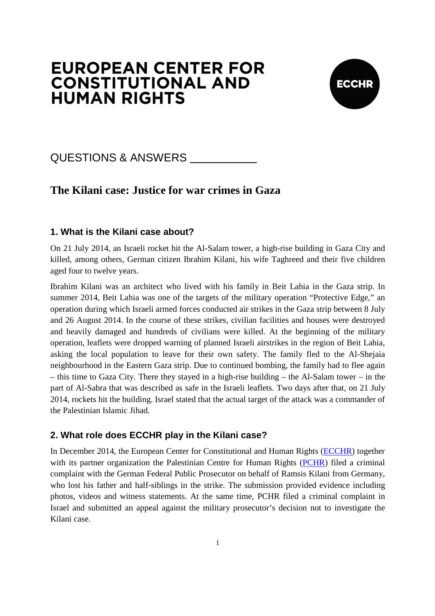# **EUROPEAN CENTER FOR CONSTITUTIONAL AND HUMAN RIGHTS**



## QUESTIONS & ANSWERS

## **The Kilani case: Justice for war crimes in Gaza**

## **1. What is the Kilani case about?**

On 21 July 2014, an Israeli rocket hit the Al-Salam tower, a high-rise building in Gaza City and killed, among others, German citizen Ibrahim Kilani, his wife Taghreed and their five children aged four to twelve years.

Ibrahim Kilani was an architect who lived with his family in Beit Lahia in the Gaza strip. In summer 2014, Beit Lahia was one of the targets of the military operation "Protective Edge," an operation during which Israeli armed forces conducted air strikes in the Gaza strip between 8 July and 26 August 2014. In the course of these strikes, civilian facilities and houses were destroyed and heavily damaged and hundreds of civilians were killed. At the beginning of the military operation, leaflets were dropped warning of planned Israeli airstrikes in the region of Beit Lahia, asking the local population to leave for their own safety. The family fled to the Al-Shejaia neighbourhood in the Eastern Gaza strip. Due to continued bombing, the family had to flee again – this time to Gaza City. There they stayed in a high-rise building – the Al-Salam tower – in the part of Al-Sabra that was described as safe in the Israeli leaflets. Two days after that, on 21 July 2014, rockets hit the building. Israel stated that the actual target of the attack was a commander of the Palestinian Islamic Jihad.

#### **2. What role does ECCHR play in the Kilani case?**

In December 2014, the European Center for Constitutional and Human Rights (ECCHR) together with its partner organization the Palestinian Centre for Human Rights (PCHR) filed a criminal complaint with the German Federal Public Prosecutor on behalf of Ramsis Kilani from Germany, who lost his father and half-siblings in the strike. The submission provided evidence including photos, videos and witness statements. At the same time, PCHR filed a criminal complaint in Israel and submitted an appeal against the military prosecutor's decision not to investigate the Kilani case.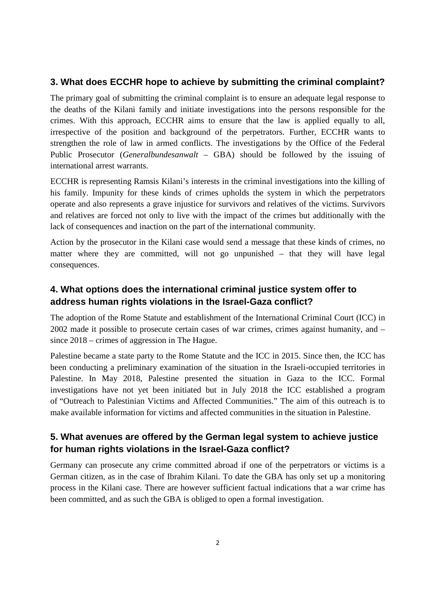#### **3. What does ECCHR hope to achieve by submitting the criminal complaint?**

The primary goal of submitting the criminal complaint is to ensure an adequate legal response to the deaths of the Kilani family and initiate investigations into the persons responsible for the crimes. With this approach, ECCHR aims to ensure that the law is applied equally to all, irrespective of the position and background of the perpetrators. Further, ECCHR wants to strengthen the role of law in armed conflicts. The investigations by the Office of the Federal Public Prosecutor (*Generalbundesanwalt –* GBA) should be followed by the issuing of international arrest warrants.

ECCHR is representing Ramsis Kilani's interests in the criminal investigations into the killing of his family. Impunity for these kinds of crimes upholds the system in which the perpetrators operate and also represents a grave injustice for survivors and relatives of the victims. Survivors and relatives are forced not only to live with the impact of the crimes but additionally with the lack of consequences and inaction on the part of the international community.

Action by the prosecutor in the Kilani case would send a message that these kinds of crimes, no matter where they are committed, will not go unpunished – that they will have legal consequences.

## **4. What options does the international criminal justice system offer to address human rights violations in the Israel-Gaza conflict?**

The adoption of the Rome Statute and establishment of the International Criminal Court (ICC) in 2002 made it possible to prosecute certain cases of war crimes, crimes against humanity, and – since 2018 – crimes of aggression in The Hague.

Palestine became a state party to the Rome Statute and the ICC in 2015. Since then, the ICC has been conducting a preliminary examination of the situation in the Israeli-occupied territories in Palestine. In May 2018, Palestine presented the situation in Gaza to the ICC. Formal investigations have not yet been initiated but in July 2018 the ICC established a program of "Outreach to Palestinian Victims and Affected Communities." The aim of this outreach is to make available information for victims and affected communities in the situation in Palestine.

## **5. What avenues are offered by the German legal system to achieve justice for human rights violations in the Israel-Gaza conflict?**

Germany can prosecute any crime committed abroad if one of the perpetrators or victims is a German citizen, as in the case of Ibrahim Kilani. To date the GBA has only set up a monitoring process in the Kilani case. There are however sufficient factual indications that a war crime has been committed, and as such the GBA is obliged to open a formal investigation.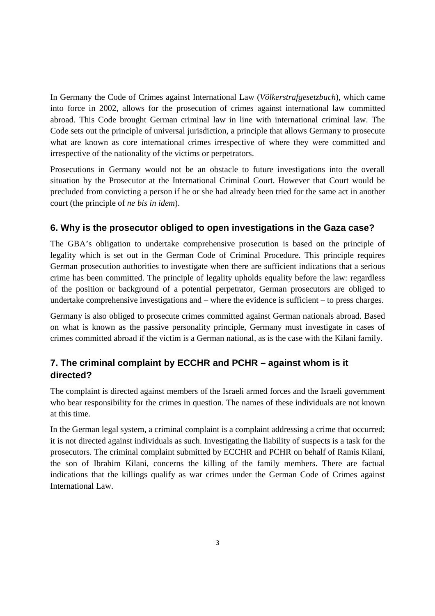In Germany the Code of Crimes against International Law (*Völkerstrafgesetzbuch*), which came into force in 2002, allows for the prosecution of crimes against international law committed abroad. This Code brought German criminal law in line with international criminal law. The Code sets out the principle of universal jurisdiction, a principle that allows Germany to prosecute what are known as core international crimes irrespective of where they were committed and irrespective of the nationality of the victims or perpetrators.

Prosecutions in Germany would not be an obstacle to future investigations into the overall situation by the Prosecutor at the International Criminal Court. However that Court would be precluded from convicting a person if he or she had already been tried for the same act in another court (the principle of *ne bis in idem*).

## **6. Why is the prosecutor obliged to open investigations in the Gaza case?**

The GBA's obligation to undertake comprehensive prosecution is based on the principle of legality which is set out in the German Code of Criminal Procedure. This principle requires German prosecution authorities to investigate when there are sufficient indications that a serious crime has been committed. The principle of legality upholds equality before the law: regardless of the position or background of a potential perpetrator, German prosecutors are obliged to undertake comprehensive investigations and – where the evidence is sufficient – to press charges.

Germany is also obliged to prosecute crimes committed against German nationals abroad. Based on what is known as the passive personality principle, Germany must investigate in cases of crimes committed abroad if the victim is a German national, as is the case with the Kilani family.

## **7. The criminal complaint by ECCHR and PCHR – against whom is it directed?**

The complaint is directed against members of the Israeli armed forces and the Israeli government who bear responsibility for the crimes in question. The names of these individuals are not known at this time.

In the German legal system, a criminal complaint is a complaint addressing a crime that occurred; it is not directed against individuals as such. Investigating the liability of suspects is a task for the prosecutors. The criminal complaint submitted by ECCHR and PCHR on behalf of Ramis Kilani, the son of Ibrahim Kilani, concerns the killing of the family members. There are factual indications that the killings qualify as war crimes under the German Code of Crimes against International Law.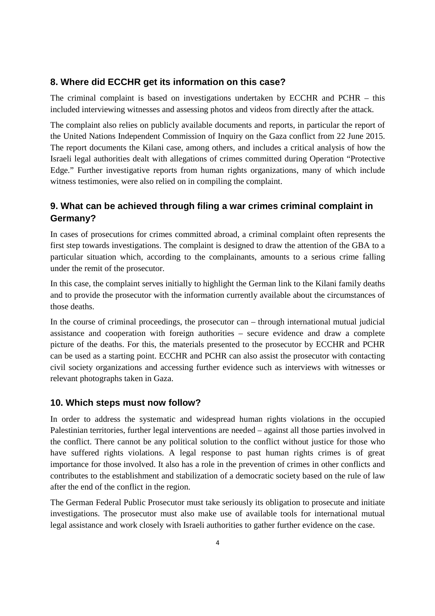#### **8. Where did ECCHR get its information on this case?**

The criminal complaint is based on investigations undertaken by ECCHR and PCHR – this included interviewing witnesses and assessing photos and videos from directly after the attack.

The complaint also relies on publicly available documents and reports, in particular the report of the United Nations Independent Commission of Inquiry on the Gaza conflict from 22 June 2015. The report documents the Kilani case, among others, and includes a critical analysis of how the Israeli legal authorities dealt with allegations of crimes committed during Operation "Protective Edge." Further investigative reports from human rights organizations, many of which include witness testimonies, were also relied on in compiling the complaint.

## **9. What can be achieved through filing a war crimes criminal complaint in Germany?**

In cases of prosecutions for crimes committed abroad, a criminal complaint often represents the first step towards investigations. The complaint is designed to draw the attention of the GBA to a particular situation which, according to the complainants, amounts to a serious crime falling under the remit of the prosecutor.

In this case, the complaint serves initially to highlight the German link to the Kilani family deaths and to provide the prosecutor with the information currently available about the circumstances of those deaths.

In the course of criminal proceedings, the prosecutor can – through international mutual judicial assistance and cooperation with foreign authorities – secure evidence and draw a complete picture of the deaths. For this, the materials presented to the prosecutor by ECCHR and PCHR can be used as a starting point. ECCHR and PCHR can also assist the prosecutor with contacting civil society organizations and accessing further evidence such as interviews with witnesses or relevant photographs taken in Gaza.

#### **10. Which steps must now follow?**

In order to address the systematic and widespread human rights violations in the occupied Palestinian territories, further legal interventions are needed – against all those parties involved in the conflict. There cannot be any political solution to the conflict without justice for those who have suffered rights violations. A legal response to past human rights crimes is of great importance for those involved. It also has a role in the prevention of crimes in other conflicts and contributes to the establishment and stabilization of a democratic society based on the rule of law after the end of the conflict in the region.

The German Federal Public Prosecutor must take seriously its obligation to prosecute and initiate investigations. The prosecutor must also make use of available tools for international mutual legal assistance and work closely with Israeli authorities to gather further evidence on the case.